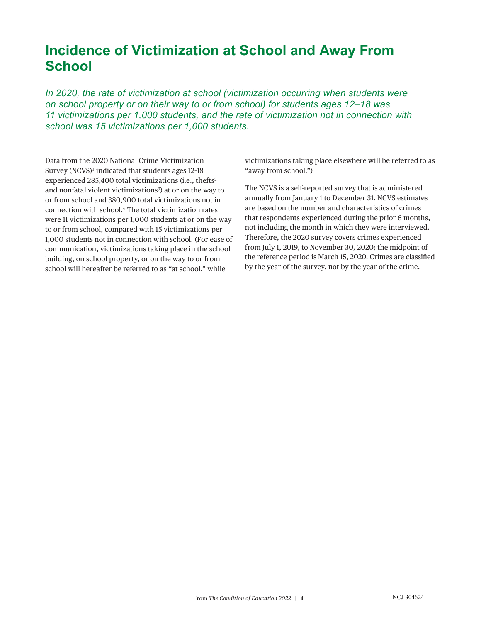## **Incidence of Victimization at School and Away From School**

*In 2020, the rate of victimization at school (victimization occurring when students were on school property or on their way to or from school) for students ages 12–18 was 11 victimizations per 1,000 students, and the rate of victimization not in connection with school was 15 victimizations per 1,000 students.*

Data from the 2020 National Crime Victimization Survey (NCVS)<sup>[1](#page-5-0)</sup> indicated that students ages 12-18 experienced [2](#page-5-1)85,400 total victimizations (i.e., thefts<sup>2</sup> and nonfatal violent victimizations<sup>[3](#page-5-2)</sup>) at or on the way to or from school and 380,900 total victimizations not in connection with school.[4](#page-5-3) The total victimization rates were 11 victimizations per 1,000 students at or on the way to or from school, compared with 15 victimizations per 1,000 students not in connection with school. (For ease of communication, victimizations taking place in the school building, on school property, or on the way to or from school will hereafter be referred to as "at school," while

victimizations taking place elsewhere will be referred to as "away from school.")

The NCVS is a self-reported survey that is administered annually from January 1 to December 31. NCVS estimates are based on the number and characteristics of crimes that respondents experienced during the prior 6 months, not including the month in which they were interviewed. Therefore, the 2020 survey covers crimes experienced from July 1, 2019, to November 30, 2020; the midpoint of the reference period is March 15, 2020. Crimes are classified by the year of the survey, not by the year of the crime.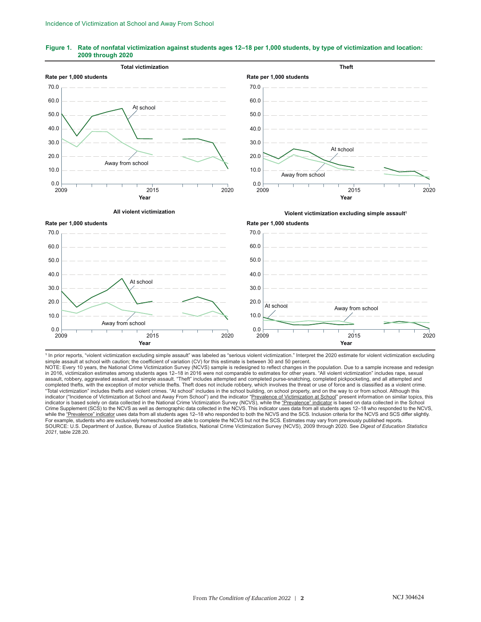



1 In prior reports, "violent victimization excluding simple assault" was labeled as "serious violent victimization." Interpret the 2020 estimate for violent victimization excluding simple assault at school with caution; the coefficient of variation (CV) for this estimate is between 30 and 50 percent.

NOTE: Every 10 years, the National Crime Victimization Survey (NCVS) sample is redesigned to reflect changes in the population. Due to a sample increase and redesign in 2016, victimization estimates among students ages 12–18 in 2016 were not comparable to estimates for other years. "All violent victimization" includes rape, sexual assault, robbery, aggravated assault, and simple assault. "Theft" includes attempted and completed purse-snatching, completed pickpocketing, and all attempted and completed thefts, with the exception of motor vehicle thefts. Theft does not include robbery, which involves the threat or use of force and is classified as a violent crime. "Total victimization" includes thefts and violent crimes. "At school" includes in the school building, on school property, and on the way to or from school. Although this indicator ("Incidence of Victimization at School and Away From School") and the indicator "<u>Prevalence of Victimization at School</u>" present information on similar topics, this<br>indicator is based solely on data collected in while the ["Prevalence" indicator](https://nces.ed.gov/programs/coe/indicator/a03) uses data from all students ages 12-18 who responded to both the NCVS and the SCS. Inclusion criteria for the NCVS and SCS differ slightly. For example, students who are exclusively homeschooled are able to complete the NCVS but not the SCS. Estimates may vary from previously published reports SOURCE: U.S. Department of Justice, Bureau of Justice Statistics, National Crime Victimization Survey (NCVS), 2009 through 2020. See *Digest of Education Statistics 2021*, table 228.20.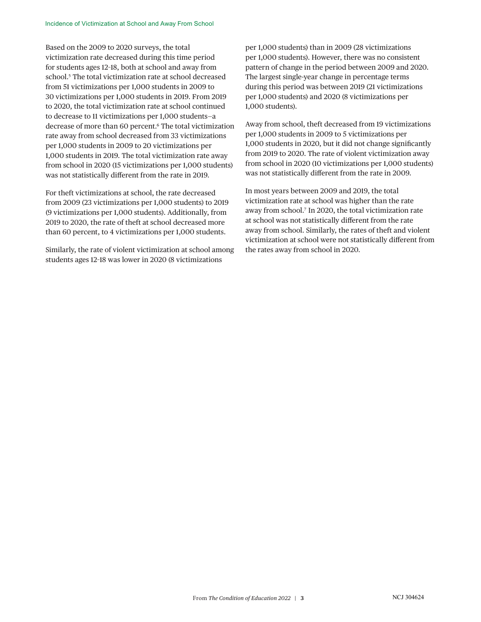Based on the 2009 to 2020 surveys, the total victimization rate decreased during this time period for students ages 12–18, both at school and away from school.<sup>[5](#page-5-4)</sup> The total victimization rate at school decreased from 51 victimizations per 1,000 students in 2009 to 30 victimizations per 1,000 students in 2019. From 2019 to 2020, the total victimization rate at school continued to decrease to 11 victimizations per 1,000 students—a decrease of more than [6](#page-5-5)0 percent.<sup>6</sup> The total victimization rate away from school decreased from 33 victimizations per 1,000 students in 2009 to 20 victimizations per 1,000 students in 2019. The total victimization rate away from school in 2020 (15 victimizations per 1,000 students) was not statistically different from the rate in 2019.

For theft victimizations at school, the rate decreased from 2009 (23 victimizations per 1,000 students) to 2019 (9 victimizations per 1,000 students). Additionally, from 2019 to 2020, the rate of theft at school decreased more than 60 percent, to 4 victimizations per 1,000 students.

Similarly, the rate of violent victimization at school among students ages 12–18 was lower in 2020 (8 victimizations

per 1,000 students) than in 2009 (28 victimizations per 1,000 students). However, there was no consistent pattern of change in the period between 2009 and 2020. The largest single-year change in percentage terms during this period was between 2019 (21 victimizations per 1,000 students) and 2020 (8 victimizations per 1,000 students).

Away from school, theft decreased from 19 victimizations per 1,000 students in 2009 to 5 victimizations per 1,000 students in 2020, but it did not change significantly from 2019 to 2020. The rate of violent victimization away from school in 2020 (10 victimizations per 1,000 students) was not statistically different from the rate in 2009.

In most years between 2009 and 2019, the total victimization rate at school was higher than the rate away from school.[7](#page-5-6) In 2020, the total victimization rate at school was not statistically different from the rate away from school. Similarly, the rates of theft and violent victimization at school were not statistically different from the rates away from school in 2020.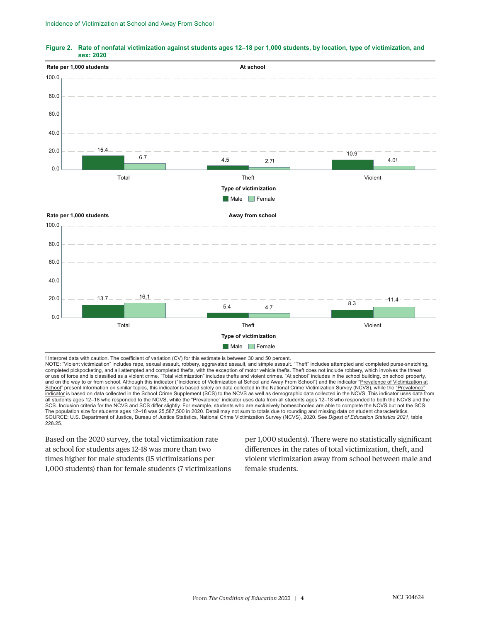

## **Figure 2. Rate of nonfatal victimization against students ages 12–18 per 1,000 students, by location, type of victimization, and sex: 2020**

! Interpret data with caution. The coefficient of variation (CV) for this estimate is between 30 and 50 percent. NOTE: "Violent victimization" includes rape, sexual assault, robbery, aggravated assault, and simple assault. "Theft" includes attempted and completed purse-snatching, completed pickpocketing, and all attempted and completed thefts, with the exception of motor vehicle thefts. Theft does not include robbery, which involves the threat or use of force and is classified as a violent crime. "Total victimization" includes thefts and violent crimes. "At school" includes in the school building, on school property, and on the way to or from school. Although this indicator ("Incidence of Victimization at School and Away From School") and the indicator "[Prevalence of Victimization at](https://nces.ed.gov/programs/coe/indicator/a03) [School"](https://nces.ed.gov/programs/coe/indicator/a03) present information on similar topics, this indicator is based solely on data collected in the National Crime Victimization Survey (NCVS), while the ["Prevalence"](https://nces.ed.gov/programs/coe/indicator/a03) [indicator](https://nces.ed.gov/programs/coe/indicator/a03) is based on data collected in the School Crime Supplement (SCS) to the NCVS as well as demographic data collected in the NCVS. This indicator uses data from all students ages 12-18 who responded to the NCVS, while the ["Prevalence" indicator](https://nces.ed.gov/programs/coe/indicator/a03) uses data from all students ages 12-18 who responded to both the NCVS and the SCS. Inclusion criteria for the NCVS and SCS differ slightly. For example, students who are exclusively homeschooled are able to complete the NCVS but not the SCS. The population size for students ages 12–18 was 25,587,500 in 2020. Detail may not sum to totals due to rounding and missing data on student characteristics. SOURCE: U.S. Department of Justice, Bureau of Justice Statistics, National Crime Victimization Survey (NCVS), 2020. See *Digest of Education Statistics 2021*, table 228.25.

Based on the 2020 survey, the total victimization rate at school for students ages 12–18 was more than two times higher for male students (15 victimizations per 1,000 students) than for female students (7 victimizations per 1,000 students). There were no statistically significant differences in the rates of total victimization, theft, and violent victimization away from school between male and female students.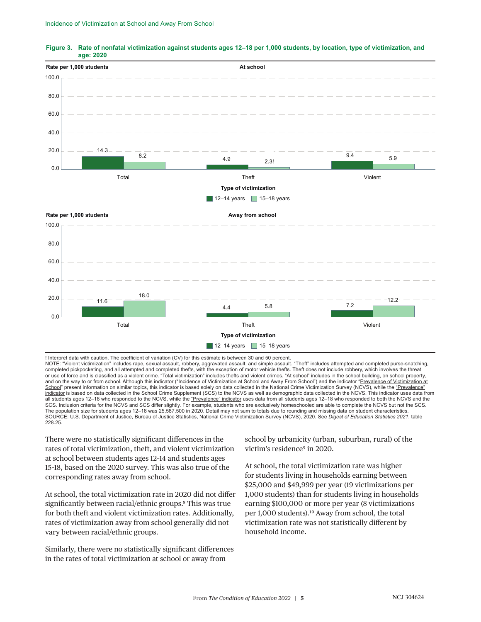

## **Figure 3. Rate of nonfatal victimization against students ages 12–18 per 1,000 students, by location, type of victimization, and age: 2020**

! Interpret data with caution. The coefficient of variation (CV) for this estimate is between 30 and 50 percent. NOTE: "Violent victimization" includes rape, sexual assault, robbery, aggravated assault, and simple assault. "Theft" includes attempted and completed purse-snatching, completed pickpocketing, and all attempted and completed thefts, with the exception of motor vehicle thefts. Theft does not include robbery, which involves the threat or use of force and is classified as a violent crime. "Total victimization" includes thefts and violent crimes. "At school" includes in the school building, on school property, and on the way to or from school. Although this indicator ("Incidence of Victimization at School and Away From School") and the indicator "[Prevalence of Victimization at](https://nces.ed.gov/programs/coe/indicator/a03) [School"](https://nces.ed.gov/programs/coe/indicator/a03) present information on similar topics, this indicator is based solely on data collected in the National Crime Victimization Survey (NCVS), while the ["Prevalence"](https://nces.ed.gov/programs/coe/indicator/a03) [indicator](https://nces.ed.gov/programs/coe/indicator/a03) is based on data collected in the School Crime Supplement (SCS) to the NCVS as well as demographic data collected in the NCVS. This indicator uses data from all students ages 12-18 who responded to the NCVS, while the ["Prevalence" indicator](https://nces.ed.gov/programs/coe/indicator/a03) uses data from all students ages 12-18 who responded to both the NCVS and the SCS. Inclusion criteria for the NCVS and SCS differ slightly. For example, students who are exclusively homeschooled are able to complete the NCVS but not the SCS. The population size for students ages 12–18 was 25,587,500 in 2020. Detail may not sum to totals due to rounding and missing data on student characteristics. SOURCE: U.S. Department of Justice, Bureau of Justice Statistics, National Crime Victimization Survey (NCVS), 2020. See *Digest of Education Statistics 2021*, table 228.25.

There were no statistically significant differences in the rates of total victimization, theft, and violent victimization at school between students ages 12–14 and students ages 15–18, based on the 2020 survey. This was also true of the corresponding rates away from school.

At school, the total victimization rate in 2020 did not differ significantly between racial/ethnic groups.[8](#page-5-7) This was true for both theft and violent victimization rates. Additionally, rates of victimization away from school generally did not vary between racial/ethnic groups.

Similarly, there were no statistically significant differences in the rates of total victimization at school or away from

school by urbanicity (urban, suburban, rural) of the victim's residence<sup>9</sup> in 2020.

At school, the total victimization rate was higher for students living in households earning between \$25,000 and \$49,999 per year (19 victimizations per 1,000 students) than for students living in households earning \$100,000 or more per year (8 victimizations per 1,000 students).[10](#page-5-8) Away from school, the total victimization rate was not statistically different by household income.